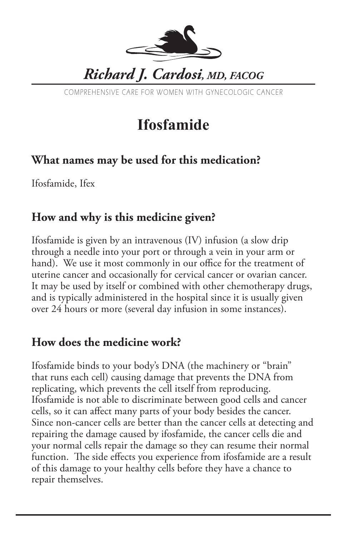

COMPREHENSIVE CARE FOR WOMEN WITH GYNECOLOGIC CANCER

# **Ifosfamide**

### **What names may be used for this medication?**

Ifosfamide, Ifex

#### **How and why is this medicine given?**

Ifosfamide is given by an intravenous (IV) infusion (a slow drip through a needle into your port or through a vein in your arm or hand). We use it most commonly in our office for the treatment of uterine cancer and occasionally for cervical cancer or ovarian cancer. It may be used by itself or combined with other chemotherapy drugs, and is typically administered in the hospital since it is usually given over 24 hours or more (several day infusion in some instances).

#### **How does the medicine work?**

Ifosfamide binds to your body's DNA (the machinery or "brain" that runs each cell) causing damage that prevents the DNA from replicating, which prevents the cell itself from reproducing. Ifosfamide is not able to discriminate between good cells and cancer cells, so it can affect many parts of your body besides the cancer. Since non-cancer cells are better than the cancer cells at detecting and repairing the damage caused by ifosfamide, the cancer cells die and your normal cells repair the damage so they can resume their normal function. The side effects you experience from ifosfamide are a result of this damage to your healthy cells before they have a chance to repair themselves.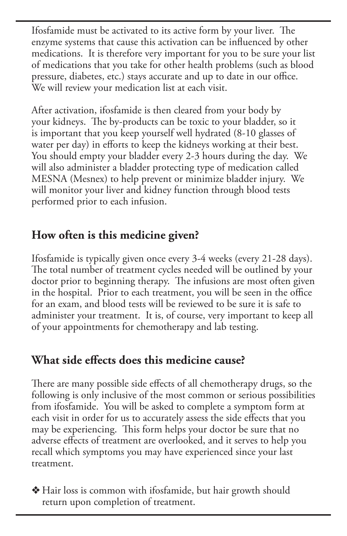Ifosfamide must be activated to its active form by your liver. The enzyme systems that cause this activation can be influenced by other medications. It is therefore very important for you to be sure your list of medications that you take for other health problems (such as blood pressure, diabetes, etc.) stays accurate and up to date in our office. We will review your medication list at each visit.

After activation, ifosfamide is then cleared from your body by your kidneys. The by-products can be toxic to your bladder, so it is important that you keep yourself well hydrated (8-10 glasses of water per day) in efforts to keep the kidneys working at their best. You should empty your bladder every 2-3 hours during the day. We will also administer a bladder protecting type of medication called MESNA (Mesnex) to help prevent or minimize bladder injury. We will monitor your liver and kidney function through blood tests performed prior to each infusion.

## **How often is this medicine given?**

Ifosfamide is typically given once every 3-4 weeks (every 21-28 days). The total number of treatment cycles needed will be outlined by your doctor prior to beginning therapy. The infusions are most often given in the hospital. Prior to each treatment, you will be seen in the office for an exam, and blood tests will be reviewed to be sure it is safe to administer your treatment. It is, of course, very important to keep all of your appointments for chemotherapy and lab testing.

#### **What side effects does this medicine cause?**

There are many possible side effects of all chemotherapy drugs, so the following is only inclusive of the most common or serious possibilities from ifosfamide. You will be asked to complete a symptom form at each visit in order for us to accurately assess the side effects that you may be experiencing. This form helps your doctor be sure that no adverse effects of treatment are overlooked, and it serves to help you recall which symptoms you may have experienced since your last treatment.

 $\triangleleft$  Hair loss is common with ifosfamide, but hair growth should return upon completion of treatment.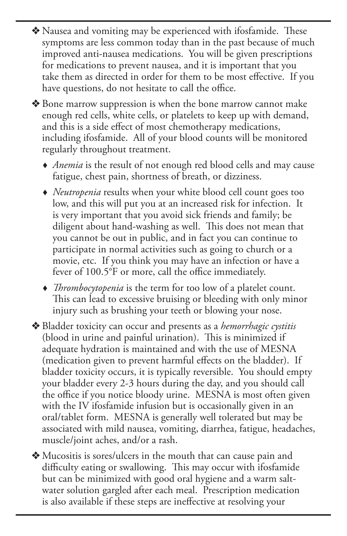v Nausea and vomiting may be experienced with ifosfamide. These symptoms are less common today than in the past because of much improved anti-nausea medications. You will be given prescriptions for medications to prevent nausea, and it is important that you take them as directed in order for them to be most effective. If you have questions, do not hesitate to call the office.

◆ Bone marrow suppression is when the bone marrow cannot make enough red cells, white cells, or platelets to keep up with demand, and this is a side effect of most chemotherapy medications, including ifosfamide. All of your blood counts will be monitored regularly throughout treatment.

- *Anemia* is the result of not enough red blood cells and may cause fatigue, chest pain, shortness of breath, or dizziness.
- *Neutropenia* results when your white blood cell count goes too low, and this will put you at an increased risk for infection. It is very important that you avoid sick friends and family; be diligent about hand-washing as well. This does not mean that you cannot be out in public, and in fact you can continue to participate in normal activities such as going to church or a movie, etc. If you think you may have an infection or have a fever of 100.5°F or more, call the office immediately.
- *Thrombocytopenia* is the term for too low of a platelet count. This can lead to excessive bruising or bleeding with only minor injury such as brushing your teeth or blowing your nose.

v Bladder toxicity can occur and presents as a *hemorrhagic cystitis* (blood in urine and painful urination). This is minimized if adequate hydration is maintained and with the use of MESNA (medication given to prevent harmful effects on the bladder). If bladder toxicity occurs, it is typically reversible. You should empty your bladder every 2-3 hours during the day, and you should call the office if you notice bloody urine. MESNA is most often given with the IV ifosfamide infusion but is occasionally given in an oral/tablet form. MESNA is generally well tolerated but may be associated with mild nausea, vomiting, diarrhea, fatigue, headaches, muscle/joint aches, and/or a rash.

v Mucositis is sores/ulcers in the mouth that can cause pain and difficulty eating or swallowing. This may occur with ifosfamide but can be minimized with good oral hygiene and a warm saltwater solution gargled after each meal. Prescription medication is also available if these steps are ineffective at resolving your